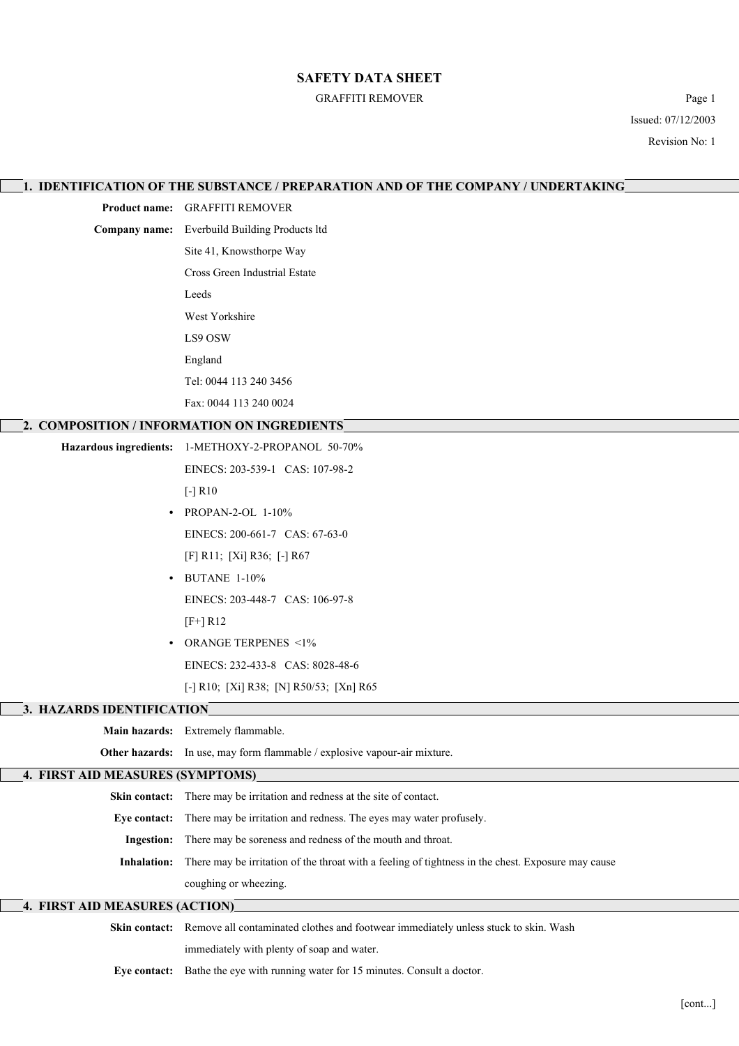#### GRAFFITI REMOVER Page 1

Issued: 07/12/2003 Revision No: 1

| 1. IDENTIFICATION OF THE SUBSTANCE / PREPARATION AND OF THE COMPANY / UNDERTAKING |                                                                                                                |  |
|-----------------------------------------------------------------------------------|----------------------------------------------------------------------------------------------------------------|--|
|                                                                                   | Product name: GRAFFITI REMOVER                                                                                 |  |
|                                                                                   | Company name: Everbuild Building Products ltd                                                                  |  |
|                                                                                   | Site 41, Knowsthorpe Way                                                                                       |  |
|                                                                                   | Cross Green Industrial Estate                                                                                  |  |
|                                                                                   | Leeds                                                                                                          |  |
|                                                                                   | West Yorkshire                                                                                                 |  |
|                                                                                   | LS9 OSW                                                                                                        |  |
|                                                                                   | England                                                                                                        |  |
|                                                                                   | Tel: 0044 113 240 3456                                                                                         |  |
|                                                                                   | Fax: 0044 113 240 0024                                                                                         |  |
|                                                                                   | 2. COMPOSITION / INFORMATION ON INGREDIENTS                                                                    |  |
|                                                                                   | Hazardous ingredients: 1-METHOXY-2-PROPANOL 50-70%                                                             |  |
|                                                                                   | EINECS: 203-539-1 CAS: 107-98-2                                                                                |  |
|                                                                                   | $[-]$ R <sub>10</sub>                                                                                          |  |
|                                                                                   | PROPAN-2-OL 1-10%                                                                                              |  |
|                                                                                   | EINECS: 200-661-7 CAS: 67-63-0                                                                                 |  |
|                                                                                   | [F] R11; [Xi] R36; [-] R67                                                                                     |  |
|                                                                                   | • BUTANE 1-10%                                                                                                 |  |
|                                                                                   | EINECS: 203-448-7 CAS: 106-97-8                                                                                |  |
|                                                                                   | $[F+] R12$                                                                                                     |  |
|                                                                                   | • ORANGE TERPENES <1%                                                                                          |  |
|                                                                                   | EINECS: 232-433-8 CAS: 8028-48-6                                                                               |  |
|                                                                                   | [-] R10; [Xi] R38; [N] R50/53; [Xn] R65                                                                        |  |
| 3. HAZARDS IDENTIFICATION                                                         |                                                                                                                |  |
|                                                                                   | Main hazards: Extremely flammable.                                                                             |  |
|                                                                                   | Other hazards: In use, may form flammable / explosive vapour-air mixture.                                      |  |
| 4. FIRST AID MEASURES (SYMPTOMS)                                                  |                                                                                                                |  |
|                                                                                   | Skin contact: There may be irritation and redness at the site of contact.                                      |  |
| Eye contact:                                                                      | There may be irritation and redness. The eyes may water profusely.                                             |  |
| <b>Ingestion:</b>                                                                 | There may be soreness and redness of the mouth and throat.                                                     |  |
|                                                                                   | Inhalation: There may be irritation of the throat with a feeling of tightness in the chest. Exposure may cause |  |
|                                                                                   | coughing or wheezing.                                                                                          |  |
| 4. FIRST AID MEASURES (ACTION)                                                    |                                                                                                                |  |
|                                                                                   | Skin contact: Remove all contaminated clothes and footwear immediately unless stuck to skin. Wash              |  |
|                                                                                   | immediately with plenty of soap and water.                                                                     |  |
|                                                                                   | Eye contact: Bathe the eye with running water for 15 minutes. Consult a doctor.                                |  |
|                                                                                   | [cont]                                                                                                         |  |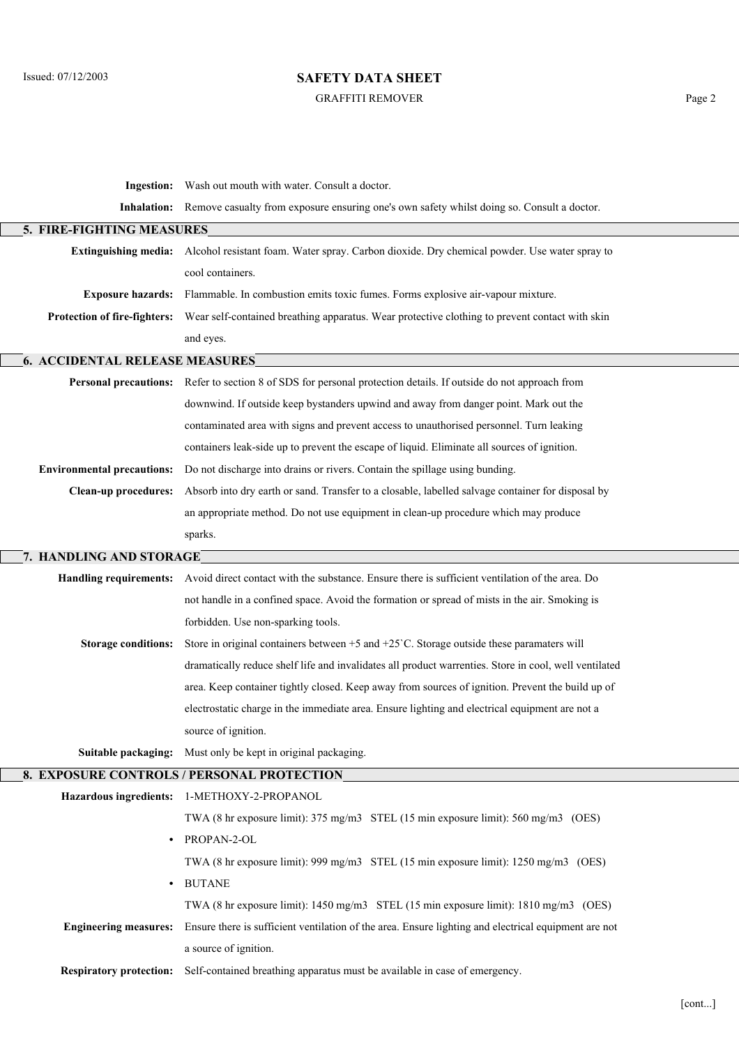$\overline{\phantom{a}}$ 

 $\overline{\phantom{a}}$ 

## **SAFETY DATA SHEET**

#### GRAFFITI REMOVER Page 2

|                                       | <b>Ingestion:</b> Wash out mouth with water. Consult a doctor.                                                    |  |  |
|---------------------------------------|-------------------------------------------------------------------------------------------------------------------|--|--|
|                                       | Inhalation: Remove casualty from exposure ensuring one's own safety whilst doing so. Consult a doctor.            |  |  |
| 5. FIRE-FIGHTING MEASURES             |                                                                                                                   |  |  |
|                                       | Extinguishing media: Alcohol resistant foam. Water spray. Carbon dioxide. Dry chemical powder. Use water spray to |  |  |
|                                       | cool containers.                                                                                                  |  |  |
|                                       | Exposure hazards: Flammable. In combustion emits toxic fumes. Forms explosive air-vapour mixture.                 |  |  |
| <b>Protection of fire-fighters:</b>   | Wear self-contained breathing apparatus. Wear protective clothing to prevent contact with skin                    |  |  |
|                                       | and eyes.                                                                                                         |  |  |
| <b>6. ACCIDENTAL RELEASE MEASURES</b> |                                                                                                                   |  |  |
|                                       | Personal precautions: Refer to section 8 of SDS for personal protection details. If outside do not approach from  |  |  |
|                                       | downwind. If outside keep bystanders upwind and away from danger point. Mark out the                              |  |  |
|                                       | contaminated area with signs and prevent access to unauthorised personnel. Turn leaking                           |  |  |
|                                       | containers leak-side up to prevent the escape of liquid. Eliminate all sources of ignition.                       |  |  |
| <b>Environmental precautions:</b>     | Do not discharge into drains or rivers. Contain the spillage using bunding.                                       |  |  |
| <b>Clean-up procedures:</b>           | Absorb into dry earth or sand. Transfer to a closable, labelled salvage container for disposal by                 |  |  |
|                                       | an appropriate method. Do not use equipment in clean-up procedure which may produce                               |  |  |
|                                       | sparks.                                                                                                           |  |  |
| 7. HANDLING AND STORAGE               |                                                                                                                   |  |  |
| <b>Handling requirements:</b>         | Avoid direct contact with the substance. Ensure there is sufficient ventilation of the area. Do                   |  |  |
|                                       | not handle in a confined space. Avoid the formation or spread of mists in the air. Smoking is                     |  |  |
|                                       | forbidden. Use non-sparking tools.                                                                                |  |  |
| <b>Storage conditions:</b>            | Store in original containers between $+5$ and $+25$ °C. Storage outside these paramaters will                     |  |  |
|                                       | dramatically reduce shelf life and invalidates all product warrenties. Store in cool, well ventilated             |  |  |
|                                       | area. Keep container tightly closed. Keep away from sources of ignition. Prevent the build up of                  |  |  |
|                                       | electrostatic charge in the immediate area. Ensure lighting and electrical equipment are not a                    |  |  |
|                                       | source of ignition.                                                                                               |  |  |
| Suitable packaging:                   | Must only be kept in original packaging.                                                                          |  |  |
|                                       | 8. EXPOSURE CONTROLS / PERSONAL PROTECTION                                                                        |  |  |
|                                       | Hazardous ingredients: 1-METHOXY-2-PROPANOL                                                                       |  |  |
|                                       | TWA (8 hr exposure limit): 375 mg/m3 STEL (15 min exposure limit): 560 mg/m3 (OES)                                |  |  |
|                                       | PROPAN-2-OL                                                                                                       |  |  |
|                                       | TWA (8 hr exposure limit): 999 mg/m3 STEL (15 min exposure limit): 1250 mg/m3 (OES)                               |  |  |
|                                       | <b>BUTANE</b>                                                                                                     |  |  |
|                                       | TWA (8 hr exposure limit): 1450 mg/m3 STEL (15 min exposure limit): 1810 mg/m3 (OES)                              |  |  |
| <b>Engineering measures:</b>          | Ensure there is sufficient ventilation of the area. Ensure lighting and electrical equipment are not              |  |  |
|                                       | a source of ignition.                                                                                             |  |  |
| <b>Respiratory protection:</b>        | Self-contained breathing apparatus must be available in case of emergency.                                        |  |  |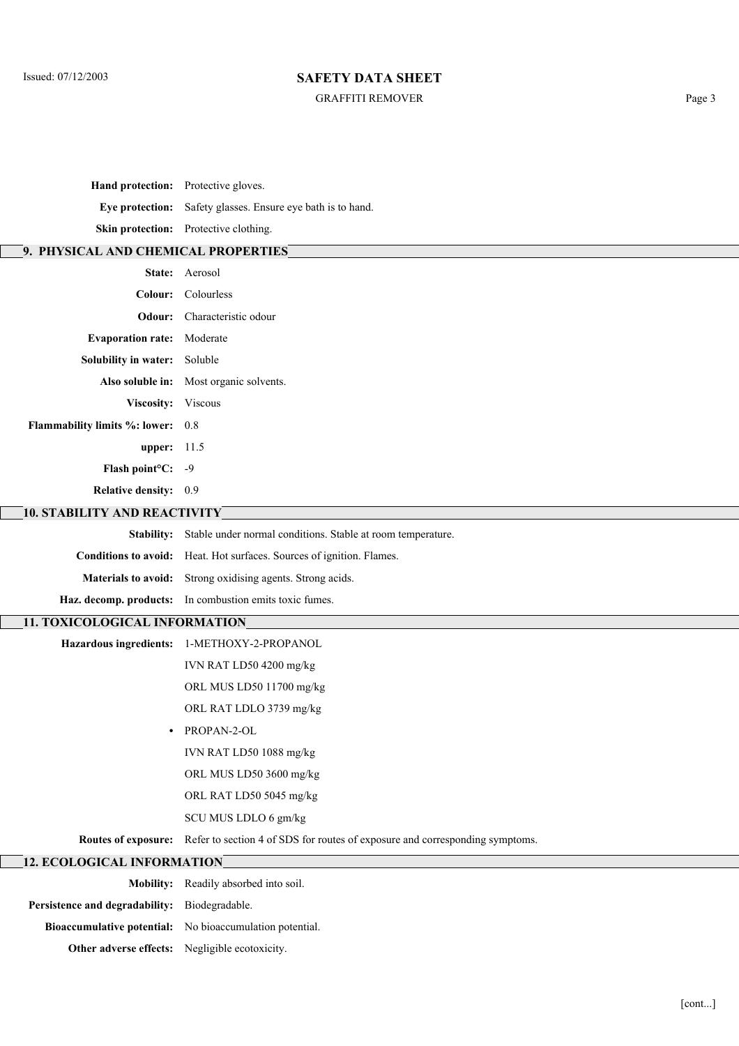#### GRAFFITI REMOVER Page 3

| Hand protection: Protective gloves. |                                                                              |  |
|-------------------------------------|------------------------------------------------------------------------------|--|
|                                     | Eye protection: Safety glasses. Ensure eye bath is to hand.                  |  |
|                                     | Skin protection: Protective clothing.                                        |  |
| 9. PHYSICAL AND CHEMICAL PROPERTIES |                                                                              |  |
|                                     | State: Aerosol                                                               |  |
|                                     | Colour: Colourless                                                           |  |
| Odour:                              | Characteristic odour                                                         |  |
| <b>Evaporation rate:</b>            | Moderate                                                                     |  |
| Solubility in water: Soluble        |                                                                              |  |
| Also soluble in:                    | Most organic solvents.                                                       |  |
| Viscosity: Viscous                  |                                                                              |  |
| Flammability limits %: lower: 0.8   |                                                                              |  |
| upper: $11.5$                       |                                                                              |  |
| Flash point <sup>o</sup> C: -9      |                                                                              |  |
| Relative density: 0.9               |                                                                              |  |
| <b>10. STABILITY AND REACTIVITY</b> |                                                                              |  |
|                                     | Stability: Stable under normal conditions. Stable at room temperature.       |  |
|                                     | Conditions to avoid: Heat. Hot surfaces. Sources of ignition. Flames.        |  |
|                                     | Materials to avoid: Strong oxidising agents. Strong acids.                   |  |
|                                     | Haz. decomp. products: In combustion emits toxic fumes.                      |  |
| 11. TOXICOLOGICAL INFORMATION       |                                                                              |  |
| <b>Hazardous ingredients:</b>       | 1-METHOXY-2-PROPANOL                                                         |  |
|                                     | IVN RAT LD50 4200 mg/kg                                                      |  |
|                                     | ORL MUS LD50 11700 mg/kg                                                     |  |
|                                     | ORL RAT LDLO 3739 mg/kg                                                      |  |
| $\bullet$                           | PROPAN-2-OL                                                                  |  |
|                                     | IVN RAT LD50 1088 mg/kg                                                      |  |
|                                     | ORL MUS LD50 3600 mg/kg                                                      |  |
|                                     | ORL RAT LD50 5045 mg/kg                                                      |  |
|                                     | SCU MUS LDLO 6 gm/kg                                                         |  |
| Routes of exposure:                 | Refer to section 4 of SDS for routes of exposure and corresponding symptoms. |  |
| <b>12. ECOLOGICAL INFORMATION</b>   |                                                                              |  |
|                                     | Mobility: Readily absorbed into soil.                                        |  |
| Persistence and degradability:      | Biodegradable.                                                               |  |

**Other adverse effects:** Negligible ecotoxicity.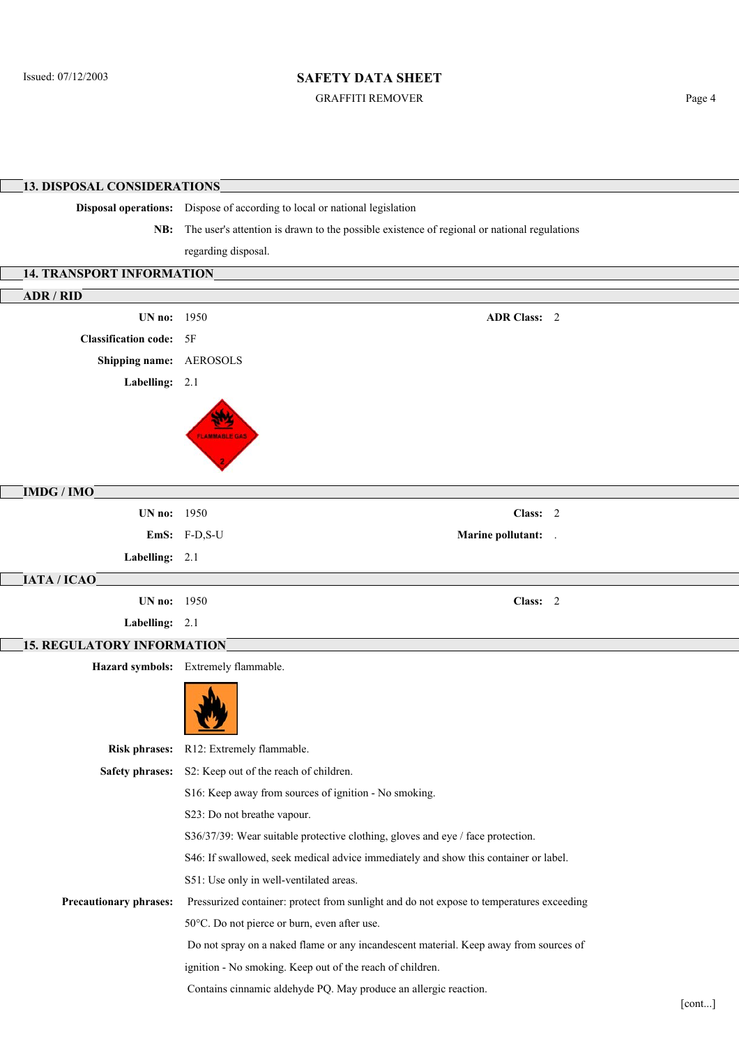GRAFFITI REMOVER Page 4

**13. DISPOSAL CONSIDERATIONS Disposal operations:** Dispose of according to local or national legislation **NB:** The user's attention is drawn to the possible existence of regional or national regulations regarding disposal. **14. TRANSPORT INFORMATION ADR / RID UN no:** 1950 **ADR Class:** 2 **Classification code:** 5F **Shipping name:** AEROSOLS **Labelling:** 2.1 **IMDG / IMO UN no:** 1950 **Class:** 2 **EmS:** F-D,S-U **Marine pollutant:** . **Labelling:** 2.1 **IATA / ICAO UN no:** 1950 **Class:** 2 **Labelling:** 2.1 **15. REGULATORY INFORMATION Hazard symbols:** Extremely flammable. **Risk phrases:** R12: Extremely flammable. **Safety phrases:** S2: Keep out of the reach of children. S16: Keep away from sources of ignition - No smoking. S23: Do not breathe vapour. S36/37/39: Wear suitable protective clothing, gloves and eye / face protection. S46: If swallowed, seek medical advice immediately and show this container or label. S51: Use only in well-ventilated areas. **Precautionary phrases:** Pressurized container: protect from sunlight and do not expose to temperatures exceeding 50°C. Do not pierce or burn, even after use. Do not spray on a naked flame or any incandescent material. Keep away from sources of ignition - No smoking. Keep out of the reach of children. Contains cinnamic aldehyde PQ. May produce an allergic reaction.